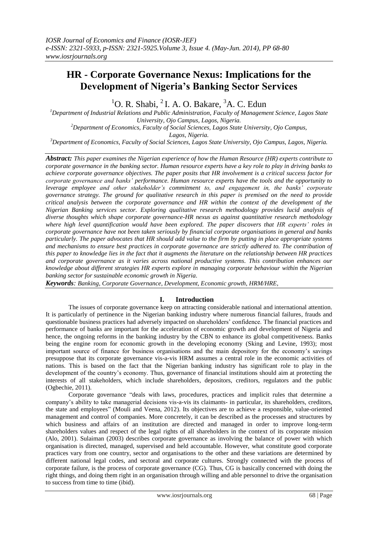# **HR - Corporate Governance Nexus: Implications for the Development of Nigeria's Banking Sector Services**

 ${}^{1}$ O. R. Shabi,  ${}^{2}$  I. A. O. Bakare,  ${}^{3}$ A. C. Edun

*<sup>1</sup>Department of Industrial Relations and Public Administration, Faculty of Management Science, Lagos State University, Ojo Campus, Lagos, Nigeria. <sup>2</sup>Department of Economics, Faculty of Social Sciences, Lagos State University, Ojo Campus,*

*Lagos, Nigeria.*

*<sup>3</sup>Department of Economics, Faculty of Social Sciences, Lagos State University, Ojo Campus, Lagos, Nigeria.*

*Abstract: This paper examines the Nigerian experience of how the Human Resource (HR) experts contribute to corporate governance in the banking sector. Human resource experts have a key role to play in driving banks to achieve corporate governance objectives. The paper posits that HR involvement is a critical success factor for corporate governance and banks' performance. Human resource experts have the tools and the opportunity to leverage employee and other stakeholder's commitment to, and engagement in, the banks' corporate governance strategy. The ground for qualitative research in this paper is premised on the need to provide critical analysis between the corporate governance and HR within the context of the development of the Nigerian Banking services sector. Exploring qualitative research methodology provides lucid analysis of diverse thoughts which shape corporate governance-HR nexus as against quantitative research methodology where high level quantification would have been explored. The paper discovers that HR experts' roles in corporate governance have not been taken seriously by financial corporate organisations in general and banks particularly. The paper advocates that HR should add value to the firm by putting in place appropriate systems and mechanisms to ensure best practices in corporate governance are strictly adhered to. The contribution of this paper to knowledge lies in the fact that it augments the literature on the relationship between HR practices and corporate governance as it varies across national productive systems. This contribution enhances our knowledge about different strategies HR experts explore in managing corporate behaviour within the Nigerian banking sector for sustainable economic growth in Nigeria.*

*Keywords: Banking, Corporate Governance, Development, Economic growth, HRM/HRE,* 

## **I. Introduction**

The issues of corporate governance keep on attracting considerable national and international attention. It is particularly of pertinence in the Nigerian banking industry where numerous financial failures, frauds and questionable business practices had adversely impacted on shareholders" confidence. The financial practices and performance of banks are important for the acceleration of economic growth and development of Nigeria and hence, the ongoing reforms in the banking industry by the CBN to enhance its global competitiveness. Banks being the engine room for economic growth in the developing economy (Sking and Levine, 1993); most important source of finance for business organisations and the main depository for the economy"s savings presuppose that its corporate governance vis-a-vis HRM assumes a central role in the economic activities of nations. This is based on the fact that the Nigerian banking industry has significant role to play in the development of the country"s economy. Thus, governance of financial institutions should aim at protecting the interests of all stakeholders, which include shareholders, depositors, creditors, regulators and the public (Ogbechie, 2011).

Corporate governance "deals with laws, procedures, practices and implicit rules that determine a company"s ability to take managerial decisions vis-a-vis its claimants- in particular, its shareholders, creditors, the state and employees" (Mouli and Veena, 2012). Its objectives are to achieve a responsible, value-oriented management and control of companies. More concretely, it can be described as the processes and structures by which business and affairs of an institution are directed and managed in order to improve long-term shareholders values and respect of the legal rights of all shareholders in the context of its corporate mission (Alo, 2001). Sulaiman (2003) describes corporate governance as involving the balance of power with which organisation is directed, managed, supervised and held accountable. However, what constitute good corporate practices vary from one country, sector and organisations to the other and these variations are determined by different national legal codes, and sectoral and corporate cultures. Strongly connected with the process of corporate failure, is the process of corporate governance (CG). Thus, CG is basically concerned with doing the right things, and doing them right in an organisation through willing and able personnel to drive the organisation to success from time to time (ibid).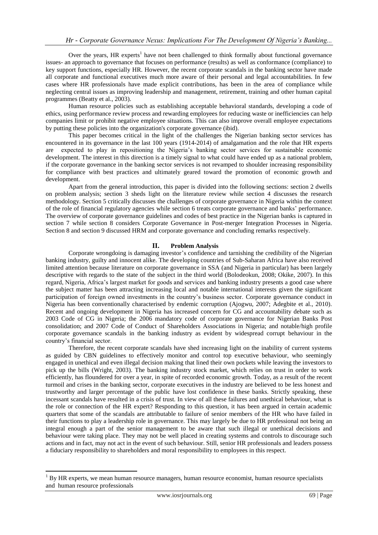Over the years, HR experts<sup>1</sup> have not been challenged to think formally about functional governance issues- an approach to governance that focuses on performance (results) as well as conformance (compliance) to key support functions, especially HR. However, the recent corporate scandals in the banking sector have made all corporate and functional executives much more aware of their personal and legal accountabilities. In few cases where HR professionals have made explicit contributions, has been in the area of compliance while neglecting central issues as improving leadership and management, retirement, training and other human capital programmes (Beatty et al., 2003).

Human resource policies such as establishing acceptable behavioral standards, developing a code of ethics, using performance review process and rewarding employees for reducing waste or inefficiencies can help companies limit or prohibit negative employee situations. This can also improve overall employee expectations by putting these policies into the organization's corporate governance (ibid).

This paper becomes critical in the light of the challenges the Nigerian banking sector services has encountered in its governance in the last 100 years (1914-2014) of amalgamation and the role that HR experts are expected to play in repositioning the Nigeria"s banking sector services for sustainable economic development. The interest in this direction is a timely signal to what could have ended up as a national problem, if the corporate governance in the banking sector services is not revamped to shoulder increasing responsibility for compliance with best practices and ultimately geared toward the promotion of economic growth and development.

Apart from the general introduction, this paper is divided into the following sections: section 2 dwells on problem analysis; section 3 sheds light on the literature review while section 4 discusses the research methodology. Section 5 critically discusses the challenges of corporate governance in Nigeria within the context of the role of financial regulatory agencies while section 6 treats corporate governance and banks" performance. The overview of corporate governance guidelines and codes of best practice in the Nigerian banks is captured in section 7 while section 8 considers Corporate Governance in Post-merger Integration Processes in Nigeria. Section 8 and section 9 discussed HRM and corporate governance and concluding remarks respectively.

#### **II. Problem Analysis**

Corporate wrongdoing is damaging investor"s confidence and tarnishing the credibility of the Nigerian banking industry, guilty and innocent alike. The developing countries of Sub-Saharan Africa have also received limited attention because literature on corporate governance in SSA (and Nigeria in particular) has been largely descriptive with regards to the state of the subject in the third world (Bolodeokun, 2008; Okike, 2007). In this regard, Nigeria, Africa"s largest market for goods and services and banking industry presents a good case where the subject matter has been attracting increasing local and notable international interests given the significant participation of foreign owned investments in the country"s business sector. Corporate governance conduct in Nigeria has been conventionally characterised by endemic corruption (Ajogwu, 2007; Adegbite et al., 2010). Recent and ongoing development in Nigeria has increased concern for CG and accountability debate such as 2003 Code of CG in Nigeria; the 2006 mandatory code of corporate governance for Nigerian Banks Post consolidation; and 2007 Code of Conduct of Shareholders Associations in Nigeria; and notable/high profile corporate governance scandals in the banking industry as evident by widespread corrupt behaviour in the country"s financial sector.

Therefore, the recent corporate scandals have shed increasing light on the inability of current systems as guided by CBN guidelines to effectively monitor and control top executive behaviour, who seemingly engaged in unethical and even illegal decision making that lined their own pockets while leaving the investors to pick up the bills (Wright, 2003). The banking industry stock market, which relies on trust in order to work efficiently, has floundered for over a year, in spite of recorded economic growth. Today, as a result of the recent turmoil and crises in the banking sector, corporate executives in the industry are believed to be less honest and trustworthy and larger percentage of the public have lost confidence in these banks. Strictly speaking, these incessant scandals have resulted in a crisis of trust. In view of all these failures and unethical behaviour, what is the role or connection of the HR expert? Responding to this question, it has been argued in certain academic quarters that some of the scandals are attributable to failure of senior members of the HR who have failed in their functions to play a leadership role in governance. This may largely be due to HR professional not being an integral enough a part of the senior management to be aware that such illegal or unethical decisions and behaviour were taking place. They may not be well placed in creating systems and controls to discourage such actions and in fact, may not act in the event of such behaviour. Still, senior HR professionals and leaders possess a fiduciary responsibility to shareholders and moral responsibility to employees in this respect.

**.** 

 $1$  By HR experts, we mean human resource managers, human resource economist, human resource specialists and human resource professionals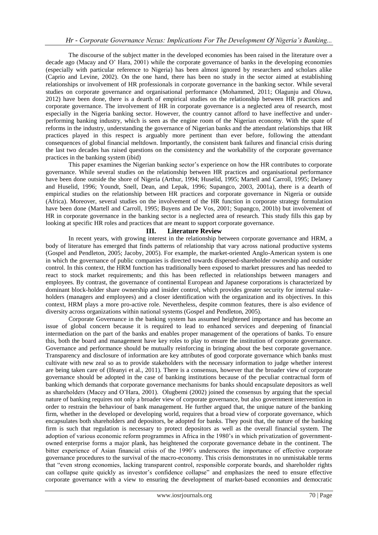The discourse of the subject matter in the developed economies has been raised in the literature over a decade ago (Macay and O" Hara, 2001) while the corporate governance of banks in the developing economies (especially with particular reference to Nigeria) has been almost ignored by researchers and scholars alike (Caprio and Levine, 2002). On the one hand, there has been no study in the sector aimed at establishing relationships or involvement of HR professionals in corporate governance in the banking sector. While several studies on corporate governance and organisational performance (Mohammed, 2011; Olagunju and Oluwa, 2012) have been done, there is a dearth of empirical studies on the relationship between HR practices and corporate governance. The involvement of HR in corporate governance is a neglected area of research, most especially in the Nigeria banking sector. However, the country cannot afford to have ineffective and underperforming banking industry, which is seen as the engine room of the Nigerian economy. With the spate of reforms in the industry, understanding the governance of Nigerian banks and the attendant relationships that HR practices played in this respect is arguably more pertinent than ever before, following the attendant consequences of global financial meltdown. Importantly, the consistent bank failures and financial crisis during the last two decades has raised questions on the consistency and the workability of the corporate governance practices in the banking system (ibid)

This paper examines the Nigerian banking sector"s experience on how the HR contributes to corporate governance. While several studies on the relationship between HR practices and organisational performance have been done outside the shore of Nigeria (Arthur, 1994; Huselid, 1995; Martell and Carroll, 1995; Delaney and Huselid, 1996; Youndt, Snell, Dean, and Lepak, 1996; Supangco, 2003, 2001a), there is a dearth of empirical studies on the relationship between HR practices and corporate governance in Nigeria or outside (Africa). Moreover, several studies on the involvement of the HR function in corporate strategy formulation have been done (Martell and Carroll, 1995; Buyens and De Vos, 2001; Supangco, 2001b) but involvement of HR in corporate governance in the banking sector is a neglected area of research. This study fills this gap by looking at specific HR roles and practices that are meant to support corporate governance.

#### **III. Literature Review**

In recent years, with growing interest in the relationship between corporate governance and HRM, a body of literature has emerged that finds patterns of relationship that vary across national productive systems (Gospel and Pendleton, 2005; Jacoby, 2005). For example, the market-oriented Anglo-American system is one in which the governance of public companies is directed towards dispersed-shareholder ownership and outsider control. In this context, the HRM function has traditionally been exposed to market pressures and has needed to react to stock market requirements; and this has been reflected in relationships between managers and employees. By contrast, the governance of continental European and Japanese corporations is characterized by dominant block-holder share ownership and insider control, which provides greater security for internal stakeholders (managers and employees) and a closer identification with the organization and its objectives. In this context, HRM plays a more pro-active role. Nevertheless, despite common features, there is also evidence of diversity across organizations within national systems (Gospel and Pendleton, 2005).

Corporate Governance in the banking system has assumed heightened importance and has become an issue of global concern because it is required to lead to enhanced services and deepening of financial intermediation on the part of the banks and enables proper management of the operations of banks. To ensure this, both the board and management have key roles to play to ensure the institution of corporate governance. Governance and performance should be mutually reinforcing in bringing about the best corporate governance. Transparency and disclosure of information are key attributes of good corporate governance which banks must cultivate with new zeal so as to provide stakeholders with the necessary information to judge whether interest are being taken care of (Ifeanyi et al., 2011). There is a consensus, however that the broader view of corporate governance should be adopted in the case of banking institutions because of the peculiar contractual form of banking which demands that corporate governance mechanisms for banks should encapsulate depositors as well as shareholders (Macey and O"Hara, 2001). Olugbemi (2002) joined the consensus by arguing that the special nature of banking requires not only a broader view of corporate governance, but also government intervention in order to restrain the behaviour of bank management. He further argued that, the unique nature of the banking firm, whether in the developed or developing world, requires that a broad view of corporate governance, which encapsulates both shareholders and depositors, be adopted for banks. They posit that, the nature of the banking firm is such that regulation is necessary to protect depositors as well as the overall financial system. The adoption of various economic reform programmes in Africa in the 1980"s in which privatization of governmentowned enterprise forms a major plank, has heightened the corporate governance debate in the continent. The bitter experience of Asian financial crisis of the 1990's underscores the importance of effective corporate governance procedures to the survival of the macro-economy. This crisis demonstrates in no unmistakable terms that "even strong economies, lacking transparent control, responsible corporate boards, and shareholder rights can collapse quite quickly as investor"s confidence collapse" and emphasizes the need to ensure effective corporate governance with a view to ensuring the development of market-based economies and democratic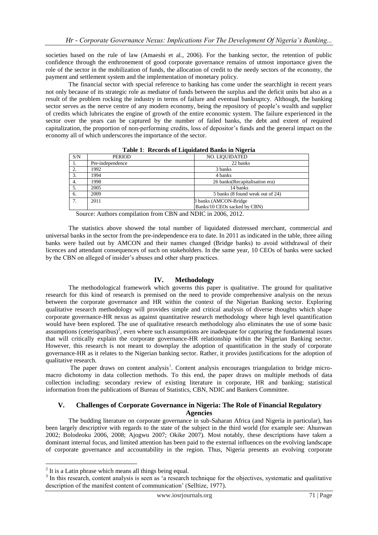societies based on the rule of law (Amaeshi et al., 2006). For the banking sector, the retention of public confidence through the enthronement of good corporate governance remains of utmost importance given the role of the sector in the mobilization of funds, the allocation of credit to the needy sectors of the economy, the payment and settlement system and the implementation of monetary policy.

The financial sector with special reference to banking has come under the searchlight in recent years not only because of its strategic role as mediator of funds between the surplus and the deficit units but also as a result of the problem rocking the industry in terms of failure and eventual bankruptcy. Although, the banking sector serves as the nerve centre of any modern economy, being the repository of people"s wealth and supplier of credits which lubricates the engine of growth of the entire economic system. The failure experienced in the sector over the years can be captured by the number of failed banks, the debt and extent of required capitalization, the proportion of non-performing credits, loss of depositor"s funds and the general impact on the economy all of which underscores the importance of the sector.

| S/N | <b>PERIOD</b>    | NO. LIQUIDATED                   |  |  |  |
|-----|------------------|----------------------------------|--|--|--|
|     | Pre-independence | 22 banks                         |  |  |  |
| 2.  | 1992             | 3 banks                          |  |  |  |
| 3.  | 1994             | 4 banks                          |  |  |  |
| 4.  | 1998             | 26 banks (Recapitalisation era)  |  |  |  |
|     | 2005             | 14 banks                         |  |  |  |
| 6.  | 2009             | 5 banks (8 found weak out of 24) |  |  |  |
| 7.  | 2011             | 3 banks (AMCON-Bridge)           |  |  |  |
|     |                  | Banks/10 CEOs sacked by CBN)     |  |  |  |

**Table 1**: **Records of Liquidated Banks in Nigeria**

Source: Authors compilation from CBN and NDIC in 2006, 2012.

The statistics above showed the total number of liquidated distressed merchant, commercial and universal banks in the sector from the pre-independence era to date. In 2011 as indicated in the table, three ailing banks were bailed out by AMCON and their names changed (Bridge banks) to avoid withdrawal of their licences and attendant consequences of such on stakeholders. In the same year, 10 CEOs of banks were sacked by the CBN on alleged of insider"s abuses and other sharp practices.

#### **IV. Methodology**

The methodological framework which governs this paper is qualitative. The ground for qualitative research for this kind of research is premised on the need to provide comprehensive analysis on the nexus between the corporate governance and HR within the context of the Nigerian Banking sector. Exploring qualitative research methodology will provides simple and critical analysis of diverse thoughts which shape corporate governance-HR nexus as against quantitative research methodology where high level quantification would have been explored. The use of qualitative research methodology also eliminates the use of some basic assumptions (ceterisparibus)<sup>2</sup>, even where such assumptions are inadequate for capturing the fundamental issues that will critically explain the corporate governance-HR relationship within the Nigerian Banking sector. However, this research is not meant to downplay the adoption of quantification in the study of corporate governance-HR as it relates to the Nigerian banking sector. Rather, it provides justifications for the adoption of qualitative research.

The paper draws on content analysis<sup>3</sup>. Content analysis encourages triangulation to bridge micromacro dichotomy in data collection methods. To this end, the paper draws on multiple methods of data collection including: secondary review of existing literature in corporate, HR and banking; statistical information from the publications of Bureau of Statistics, CBN, NDIC and Bankers Committee.

## **V. Challenges of Corporate Governance in Nigeria: The Role of Financial Regulatory Agencies**

The budding literature on corporate governance in sub-Saharan Africa (and Nigeria in particular), has been largely descriptive with regards to the state of the subject in the third world (for example see: Ahunwan 2002; Bolodeoku 2006, 2008; Ajogwu 2007; Okike 2007). Most notably, these descriptions have taken a dominant internal focus, and limited attention has been paid to the external influences on the evolving landscape of corporate governance and accountability in the region. Thus, Nigeria presents an evolving corporate

1

 $2$  It is a Latin phrase which means all things being equal.

<sup>&</sup>lt;sup>3</sup> In this research, content analysis is seen as 'a research technique for the objectives, systematic and qualitative description of the manifest content of communication' (Selltize, 1977).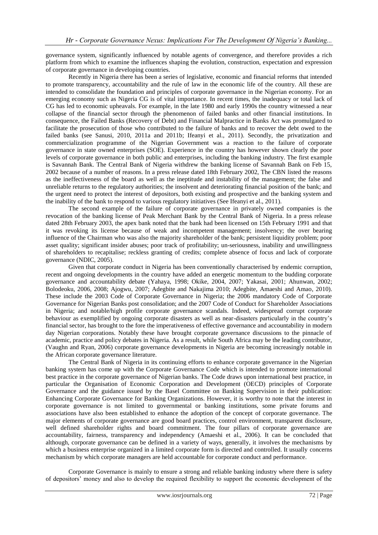governance system, significantly influenced by notable agents of convergence, and therefore provides a rich platform from which to examine the influences shaping the evolution, construction, expectation and expression of corporate governance in developing countries.

Recently in Nigeria there has been a series of legislative, economic and financial reforms that intended to promote transparency, accountability and the rule of law in the economic life of the country. All these are intended to consolidate the foundation and principles of corporate governance in the Nigerian economy. For an emerging economy such as Nigeria CG is of vital importance. In recent times, the inadequacy or total lack of CG has led to economic upheavals. For example, in the late 1980 and early 1990s the country witnessed a near collapse of the financial sector through the phenomenon of failed banks and other financial institutions. In consequence, the Failed Banks (Recovery of Debt) and Financial Malpractice in Banks Act was promulgated to facilitate the prosecution of those who contributed to the failure of banks and to recover the debt owed to the failed banks (see Sanusi, 2010, 2011a and 2011b; Ifeanyi et al., 2011). Secondly, the privatization and commercialization programme of the Nigerian Government was a reaction to the failure of corporate governance in state owned enterprises (SOE). Experience in the country has however shown clearly the poor levels of corporate governance in both public and enterprises, including the banking industry. The first example is Savannah Bank. The Central Bank of Nigeria withdrew the banking license of Savannah Bank on Feb 15, 2002 because of a number of reasons. In a press release dated 18th February 2002, The CBN listed the reasons as the ineffectiveness of the board as well as the ineptitude and instability of the management; the false and unreliable returns to the regulatory authorities; the insolvent and deteriorating financial position of the bank; and the urgent need to protect the interest of depositors, both existing and prospective and the banking system and the inability of the bank to respond to various regulatory initiatives (See Ifeanyi et al., 2011).

The second example of the failure of corporate governance in privately owned companies is the revocation of the banking license of Peak Merchant Bank by the Central Bank of Nigeria. In a press release dated 28th February 2003, the apex bank noted that the bank had been licensed on 15th February 1991 and that it was revoking its license because of weak and incompetent management; insolvency; the over bearing influence of the Chairman who was also the majority shareholder of the bank; persistent liquidity problem; poor asset quality; significant insider abuses; poor track of profitability; un-seriousness, inability and unwillingness of shareholders to recapitalise; reckless granting of credits; complete absence of focus and lack of corporate governance (NDIC, 2005).

Given that corporate conduct in Nigeria has been conventionally characterised by endemic corruption, recent and ongoing developments in the country have added an energetic momentum to the budding corporate governance and accountability debate (Yahaya, 1998; Okike, 2004, 2007; Yakasai, 2001; Ahunwan, 2002; Bolodeoku, 2006, 2008; Ajogwu, 2007; Adegbite and Nakajima 2010; Adegbite, Amaeshi and Amao, 2010). These include the 2003 Code of Corporate Governance in Nigeria; the 2006 mandatory Code of Corporate Governance for Nigerian Banks post consolidation; and the 2007 Code of Conduct for Shareholder Associations in Nigeria; and notable/high profile corporate governance scandals. Indeed, widespread corrupt corporate behaviour as exemplified by ongoing corporate disasters as well as near-disasters particularly in the country"s financial sector, has brought to the fore the imperativeness of effective governance and accountability in modern day Nigerian corporations. Notably these have brought corporate governance discussions to the pinnacle of academic, practice and policy debates in Nigeria. As a result, while South Africa may be the leading contributor, (Vaughn and Ryan, 2006) corporate governance developments in Nigeria are becoming increasingly notable in the African corporate governance literature.

The Central Bank of Nigeria in its continuing efforts to enhance corporate governance in the Nigerian banking system has come up with the Corporate Governance Code which is intended to promote international best practice in the corporate governance of Nigerian banks. The Code draws upon international best practice, in particular the Organisation of Economic Corporation and Development (OECD) principles of Corporate Governance and the guidance issued by the Basel Committee on Banking Supervision in their publication: Enhancing Corporate Governance for Banking Organizations. However, it is worthy to note that the interest in corporate governance is not limited to governmental or banking institutions, some private forums and associations have also been established to enhance the adoption of the concept of corporate governance. The major elements of corporate governance are good board practices, control environment, transparent disclosure, well defined shareholder rights and board commitment. The four pillars of corporate governance are accountability, fairness, transparency and independency (Amaeshi et al., 2006). It can be concluded that although, corporate governance can be defined in a variety of ways, generally, it involves the mechanisms by which a business enterprise organized in a limited corporate form is directed and controlled. It usually concerns mechanism by which corporate managers are held accountable for corporate conduct and performance.

Corporate Governance is mainly to ensure a strong and reliable banking industry where there is safety of depositors" money and also to develop the required flexibility to support the economic development of the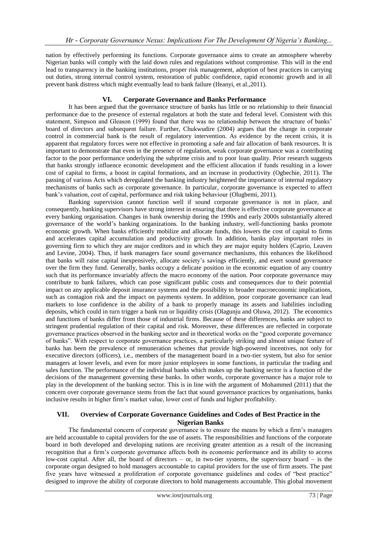nation by effectively performing its functions. Corporate governance aims to create an atmosphere whereby Nigerian banks will comply with the laid down rules and regulations without compromise. This will in the end lead to transparency in the banking institutions, proper risk management, adoption of best practices in carrying out duties, strong internal control system, restoration of public confidence, rapid economic growth and in all prevent bank distress which might eventually lead to bank failure (Ifeanyi, et al.,2011).

# **VI. Corporate Governance and Banks Performance**

It has been argued that the governance structure of banks has little or no relationship to their financial performance due to the presence of external regulators at both the state and federal level. Consistent with this statement, Simpson and Gleason (1999) found that there was no relationship between the structure of banks' board of directors and subsequent failure. Further, Chukwudire (2004) argues that the change in corporate control in commercial bank is the result of regulatory intervention. As evidence by the recent crisis, it is apparent that regulatory forces were not effective in promoting a safe and fair allocation of bank resources. It is important to demonstrate that even in the presence of regulation, weak corporate governance was a contributing factor to the poor performance underlying the subprime crisis and to poor loan quality. Prior research suggests that banks strongly influence economic development and the efficient allocation if funds resulting in a lower cost of capital to firms, a boost in capital formations, and an increase in productivity (Ogbechie, 2011). The passing of various Acts which deregulated the banking industry heightened the importance of internal regulatory mechanisms of banks such as corporate governance. In particular, corporate governance is expected to affect bank"s valuation, cost of capital, performance and risk taking behaviour (Olugbemi, 2011).

Banking supervision cannot function well if sound corporate governance is not in place, and consequently, banking supervisors have strong interest in ensuring that there is effective corporate governance at every banking organisation. Changes in bank ownership during the 1990s and early 2000s substantially altered governance of the world"s banking organizations. In the banking industry, well-functioning banks promote economic growth. When banks efficiently mobilize and allocate funds, this lowers the cost of capital to firms and accelerates capital accumulation and productivity growth. In addition, banks play important roles in governing firm to which they are major creditors and in which they are major equity holders (Caprio, Leaven and Levine, 2004). Thus, if bank managers face sound governance mechanisms, this enhances the likelihood that banks will raise capital inexpensively, allocate society"s savings efficiently, and exert sound governance over the firm they fund. Generally, banks occupy a delicate position in the economic equation of any country such that its performance invariably affects the macro economy of the nation. Poor corporate governance may contribute to bank failures, which can pose significant public costs and consequences due to their potential impact on any applicable deposit insurance systems and the possibility to broader macroeconomic implications, such as contagion risk and the impact on payments system. In addition, poor corporate governance can lead markets to lose confidence in the ability of a bank to properly manage its assets and liabilities including deposits, which could in turn trigger a bank run or liquidity crisis (Olagunju and Oluwa, 2012). The economics and functions of banks differ from those of industrial firms. Because of these differences, banks are subject to stringent prudential regulation of their capital and risk. Moreover, these differences are reflected in corporate governance practices observed in the banking sector and in theoretical works on the "good corporate governance of banks". With respect to corporate governance practices, a particularly striking and almost unique feature of banks has been the prevalence of remuneration schemes that provide high-powered incentives, not only for executive directors (officers), i.e., members of the management board in a two-tier system, but also for senior managers at lower levels, and even for more junior employees in some functions, in particular the trading and sales function. The performance of the individual banks which makes up the banking sector is a function of the decisions of the management governing these banks. In other words, corporate governance has a major role to play in the development of the banking sector. This is in line with the argument of Mohammed (2011) that the concern over corporate governance stems from the fact that sound governance practices by organisations, banks inclusive results in higher firm"s market value, lower cost of funds and higher profitability.

## **VII. Overview of Corporate Governance Guidelines and Codes of Best Practice in the Nigerian Banks**

The fundamental concern of corporate governance is to ensure the means by which a firm"s managers are held accountable to capital providers for the use of assets. The responsibilities and functions of the corporate board in both developed and developing nations are receiving greater attention as a result of the increasing recognition that a firm"s corporate governance affects both its economic performance and its ability to access low-cost capital. After all, the board of directors – or, in two-tier systems, the supervisory board – is the corporate organ designed to hold managers accountable to capital providers for the use of firm assets. The past five years have witnessed a proliferation of corporate governance guidelines and codes of "best practice" designed to improve the ability of corporate directors to hold managements accountable. This global movement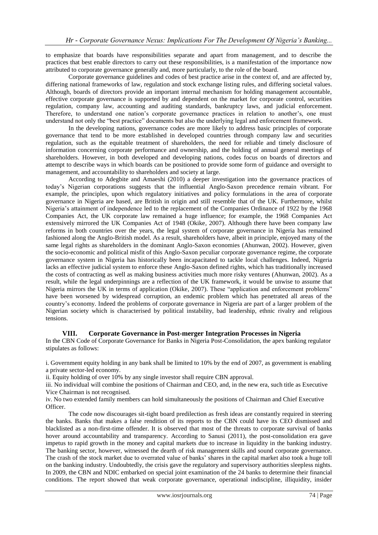to emphasize that boards have responsibilities separate and apart from management, and to describe the practices that best enable directors to carry out these responsibilities, is a manifestation of the importance now attributed to corporate governance generally and, more particularly, to the role of the board.

Corporate governance guidelines and codes of best practice arise in the context of, and are affected by, differing national frameworks of law, regulation and stock exchange listing rules, and differing societal values. Although, boards of directors provide an important internal mechanism for holding management accountable, effective corporate governance is supported by and dependent on the market for corporate control, securities regulation, company law, accounting and auditing standards, bankruptcy laws, and judicial enforcement. Therefore, to understand one nation's corporate governance practices in relation to another's, one must understand not only the "best practice" documents but also the underlying legal and enforcement framework.

In the developing nations, governance codes are more likely to address basic principles of corporate governance that tend to be more established in developed countries through company law and securities regulation, such as the equitable treatment of shareholders, the need for reliable and timely disclosure of information concerning corporate performance and ownership, and the holding of annual general meetings of shareholders. However, in both developed and developing nations, codes focus on boards of directors and attempt to describe ways in which boards can be positioned to provide some form of guidance and oversight to management, and accountability to shareholders and society at large.

According to Adegbite and Amaeshi (2010) a deeper investigation into the governance practices of today"s Nigerian corporations suggests that the influential Anglo-Saxon precedence remain vibrant. For example, the principles, upon which regulatory initiatives and policy formulations in the area of corporate governance in Nigeria are based, are British in origin and still resemble that of the UK. Furthermore, whilst Nigeria"s attainment of independence led to the replacement of the Companies Ordinance of 1922 by the 1968 Companies Act, the UK corporate law remained a huge influence; for example, the 1968 Companies Act extensively mirrored the UK Companies Act of 1948 (Okike, 2007). Although there have been company law reforms in both countries over the years, the legal system of corporate governance in Nigeria has remained fashioned along the Anglo-British model. As a result, shareholders have, albeit in principle, enjoyed many of the same legal rights as shareholders in the dominant Anglo-Saxon economies (Ahunwan, 2002). However, given the socio-economic and political misfit of this Anglo-Saxon peculiar corporate governance regime, the corporate governance system in Nigeria has historically been incapacitated to tackle local challenges. Indeed, Nigeria lacks an effective judicial system to enforce these Anglo-Saxon defined rights, which has traditionally increased the costs of contracting as well as making business activities much more risky ventures (Ahunwan, 2002). As a result, while the legal underpinnings are a reflection of the UK framework, it would be unwise to assume that Nigeria mirrors the UK in terms of application (Okike, 2007). These "application and enforcement problems" have been worsened by widespread corruption, an endemic problem which has penetrated all areas of the country"s economy. Indeed the problems of corporate governance in Nigeria are part of a larger problem of the Nigerian society which is characterised by political instability, bad leadership, ethnic rivalry and religious tensions.

## **VIII. Corporate Governance in Post-merger Integration Processes in Nigeria**

In the CBN Code of Corporate Governance for Banks in Nigeria Post-Consolidation, the apex banking regulator stipulates as follows:

i. Government equity holding in any bank shall be limited to 10% by the end of 2007, as government is enabling a private sector-led economy.

ii. Equity holding of over 10% by any single investor shall require CBN approval.

iii. No individual will combine the positions of Chairman and CEO, and, in the new era, such title as Executive Vice Chairman is not recognised.

iv. No two extended family members can hold simultaneously the positions of Chairman and Chief Executive Officer.

The code now discourages sit-tight board predilection as fresh ideas are constantly required in steering the banks. Banks that makes a false rendition of its reports to the CBN could have its CEO dismissed and blacklisted as a non-first-time offender. It is observed that most of the threats to corporate survival of banks hover around accountability and transparency. According to Sanusi (2011), the post-consolidation era gave impetus to rapid growth in the money and capital markets due to increase in liquidity in the banking industry. The banking sector, however, witnessed the dearth of risk management skills and sound corporate governance. The crash of the stock market due to overrated value of banks" shares in the capital market also took a huge toll on the banking industry. Undoubtedly, the crisis gave the regulatory and supervisory authorities sleepless nights. In 2009, the CBN and NDIC embarked on special joint examination of the 24 banks to determine their financial conditions. The report showed that weak corporate governance, operational indiscipline, illiquidity, insider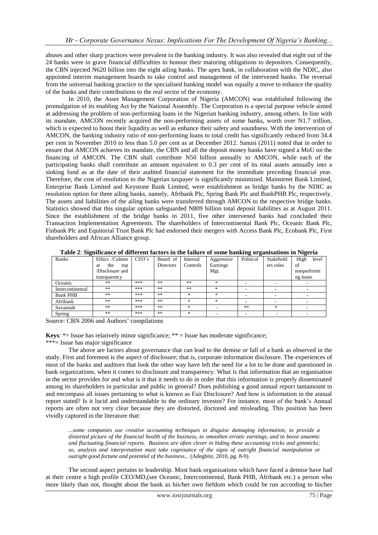abuses and other sharp practices were prevalent in the banking industry. It was also revealed that eight out of the 24 banks were in grave financial difficulties to honour their maturing obligations to depositors. Consequently, the CBN injected N620 billion into the eight ailing banks. The apex bank, in collaboration with the NDIC, also appointed interim management boards to take control and management of the intervened banks. The reversal from the universal banking practice to the specialised banking model was equally a move to enhance the quality of the banks and their contributions to the real sector of the economy.

In 2010, the Asset Management Corporation of Nigeria (AMCON) was established following the promulgation of its enabling Act by the National Assembly. The Corporation is a special purpose vehicle aimed at addressing the problem of non-performing loans in the Nigerian banking industry, among others. In line with its mandate, AMCON recently acquired the non-performing assets of some banks, worth over N1.7 trillion, which is expected to boost their liquidity as well as enhance their safety and soundness. With the intervention of AMCON, the banking industry ratio of non-performing loans to total credit has significantly reduced from 34.4 per cent in November 2010 to less than 5.0 per cent as at December 2012. Sanusi (2011) noted that in order to ensure that AMCON achieves its mandate, the CBN and all the deposit money banks have signed a MoU on the financing of AMCON. The CBN shall contribute N50 billion annually to AMCON, while each of the participating banks shall contribute an amount equivalent to 0.3 per cent of its total assets annually into a sinking fund as at the date of their audited financial statement for the immediate preceding financial year. Therefore, the cost of resolution to the Nigerian taxpayer is significantly minimized. Mainstreet Bank Limited, Enterprise Bank Limited and Keystone Bank Limited, were establishment as bridge banks by the NDIC as resolution option for three ailing banks, namely, Afribank Plc, Spring Bank Plc and BankPHB Plc, respectively. The assets and liabilities of the ailing banks were transferred through AMCON to the respective bridge banks. Statistics showed that this singular option safeguarded N809 billion total deposit liabilities as at August 2011. Since the establishment of the bridge banks in 2011, five other intervened banks had concluded their Transaction Implementation Agreements. The shareholders of Intercontinental Bank Plc, Oceanic Bank Plc, Finbank Plc and Equitorial Trust Bank Plc had endorsed their mergers with Access Bank Plc, Ecobank Plc, First shareholders and African Alliance group.

| <b>Banks</b>     | Ethics /Culture  | CEO's | Board of  | Internal | Aggressive | Political | Stakehold | High<br>level |
|------------------|------------------|-------|-----------|----------|------------|-----------|-----------|---------------|
|                  | the<br>top<br>at |       | Directors | Controls | Earnings   |           | ers roles | of            |
|                  | Disclosure and   |       |           |          | Mgt.       |           |           | nonperformi   |
|                  | transparency     |       |           |          |            |           |           | ng loans      |
| Oceanic          | **               | ***   | **        | **       | $\ast$     |           |           |               |
| Intercontinental | **               | ***   | **        | **       | *          |           | ۰         |               |
| <b>Bank PHB</b>  | **               | ***   | **        | $\ast$   | $*$        |           |           |               |
| Afribank         | **               | ***   | **        | $\ast$   | $*$        |           |           |               |
| Savannah         | **               | ***   | **        | $\ast$   |            | **        | $\ast$    |               |
| Spring           | **               | ***   | **        | $\ast$   |            |           |           |               |

**Table 2**: **Significance of different factors in the failure of some banking organisations in Nigeria**

Source: CBN 2006 and Authors' compilations

**Keys:**  $*$ = Issue has relatively minor significance;  $*$  = Issue has moderate significance;

#### \*\*\*= Issue has major significance

The above are factors about governance that can lead to the demise or fall of a bank as observed in the study. First and foremost is the aspect of disclosure; that is, corporate information disclosure. The experiences of most of the banks and auditors that look the other way have left the need for a lot to be done and questioned in bank organizations, when it comes to disclosure and transparency. What is that information that an organisation in the sector provides for and what is it that it needs to do in order that this information is properly disseminated among its shareholders in particular and public in general? Does publishing a good annual report tantamount to and encompass all issues pertaining to what is known as Fair Disclosure? And how is information in the annual report stated? Is it lucid and understandable to the ordinary investor? For instance, most of the bank"s Annual reports are often not very clear because they are distorted, doctored and misleading. This position has been vividly captured in the literature that:

*...some companies use creative accounting techniques to disguise damaging information, to provide a distorted picture of the financial health of the business, to smoothen erratic earnings, and to boost anaemic and fluctuating financial reports. Business are often clever in hiding these accounting tricks and gimmicks; so, analysis and interpretation must take cognisance of the signs of outright financial manipulation or outright good fortune and potential of the business...* (Adegbite, 2010, pg. 8-9).

The second aspect pertains to leadership. Most bank organisations which have faced a demise have had at their centre a high profile CEO/MD,(see Oceanic, Intercontinental, Bank PHB, Afribank etc.) a person who more likely than not, thought about the bank as his/her own fiefdom which could be run according to his/her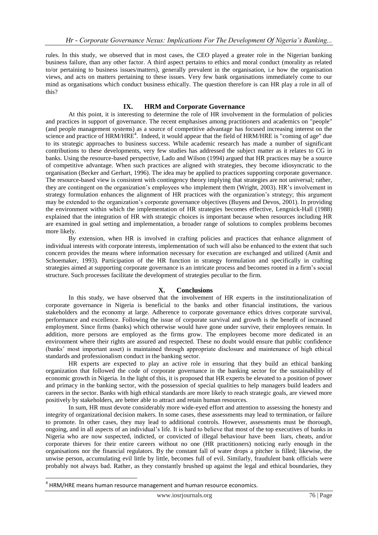rules. In this study, we observed that in most cases, the CEO played a greater role in the Nigerian banking business failure, than any other factor. A third aspect pertains to ethics and moral conduct (morality as related to/or pertaining to business issues/matters), generally prevalent in the organisation, i.e how the organisation views, and acts on matters pertaining to these issues. Very few bank organisations immediately come to our mind as organisations which conduct business ethically. The question therefore is can HR play a role in all of this?

# **IX. HRM and Corporate Governance**

At this point, it is interesting to determine the role of HR involvement in the formulation of policies and practices in support of governance. The recent emphasises among practitioners and academics on "people" (and people management systems) as a source of competitive advantage has focused increasing interest on the science and practice of HRM/HRE<sup>4</sup>. Indeed, it would appear that the field of HRM/HRE is "coming of age" due to its strategic approaches to business success. While academic research has made a number of significant contributions to these developments, very few studies has addressed the subject matter as it relates to CG in banks. Using the resource-based perspective, Lado and Wilson (1994) argued that HR practices may be a source of competitive advantage. When such practices are aligned with strategies, they become idiosyncratic to the organisation (Becker and Gerhart, 1996). The idea may be applied to practices supporting corporate governance. The resource-based view is consistent with contingency theory implying that strategies are not universal; rather, they are contingent on the organization"s employees who implement them (Wright, 2003). HR"s involvement in strategy formulation enhances the alignment of HR practices with the organization"s strategy; this argument may be extended to the organization"s corporate governance objectives (Buyens and Devos, 2001). In providing the environment within which the implementation of HR strategies becomes effective, Lengnick-Hall (1988) explained that the integration of HR with strategic choices is important because when resources including HR are examined in goal setting and implementation, a broader range of solutions to complex problems becomes more likely.

By extension, when HR is involved in crafting policies and practices that enhance alignment of individual interests with corporate interests, implementation of such will also be enhanced to the extent that such concern provides the means where information necessary for execution are exchanged and utilized (Amit and Schoemaker, 1993). Participation of the HR function in strategy formulation and specifically in crafting strategies aimed at supporting corporate governance is an intricate process and becomes rooted in a firm"s social structure. Such processes facilitate the development of strategies peculiar to the firm.

# **X. Conclusions**

In this study, we have observed that the involvement of HR experts in the institutionalization of corporate governance in Nigeria is beneficial to the banks and other financial institutions, the various stakeholders and the economy at large. Adherence to corporate governance ethics drives corporate survival, performance and excellence. Following the issue of corporate survival and growth is the benefit of increased employment. Since firms (banks) which otherwise would have gone under survive, their employees remain. In addition, more persons are employed as the firms grow. The employees become more dedicated in an environment where their rights are assured and respected. These no doubt would ensure that public confidence (banks" most important asset) is maintained through appropriate disclosure and maintenance of high ethical standards and professionalism conduct in the banking sector.

HR experts are expected to play an active role in ensuring that they build an ethical banking organization that followed the code of corporate governance in the banking sector for the sustainability of economic growth in Nigeria. In the light of this, it is proposed that HR experts be elevated to a position of power and primacy in the banking sector, with the possession of special qualities to help managers build leaders and careers in the sector. Banks with high ethical standards are more likely to reach strategic goals, are viewed more positively by stakeholders, are better able to attract and retain human resources.

In sum, HR must devote considerably more wide-eyed effort and attention to assessing the honesty and integrity of organizational decision makers. In some cases, these assessments may lead to termination, or failure to promote. In other cases, they may lead to additional controls. However, assessments must be thorough, ongoing, and in all aspects of an individual"s life. It is hard to believe that most of the top executives of banks in Nigeria who are now suspected, indicted, or convicted of illegal behaviour have been liars, cheats, and/or corporate thieves for their entire careers without no one (HR practitioners) noticing early enough in the organisations nor the financial regulators. By the constant fall of water drops a pitcher is filled; likewise, the unwise person, accumulating evil little by little, becomes full of evil. Similarly, fraudulent bank officials were probably not always bad. Rather, as they constantly brushed up against the legal and ethical boundaries, they

**.** 

 $<sup>4</sup>$  HRM/HRE means human resource management and human resource economics.</sup>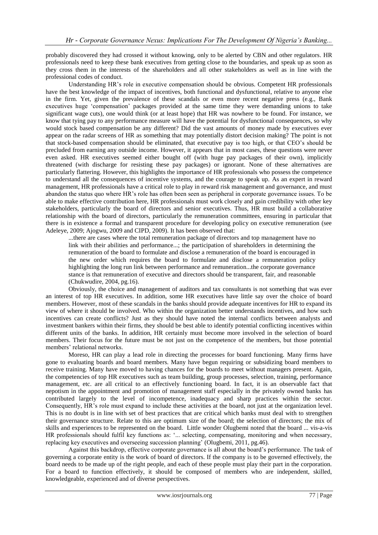probably discovered they had crossed it without knowing, only to be alerted by CBN and other regulators. HR professionals need to keep these bank executives from getting close to the boundaries, and speak up as soon as they cross them in the interests of the shareholders and all other stakeholders as well as in line with the professional codes of conduct.

Understanding HR"s role in executive compensation should be obvious. Competent HR professionals have the best knowledge of the impact of incentives, both functional and dysfunctional, relative to anyone else in the firm. Yet, given the prevalence of these scandals or even more recent negative press (e.g., Bank executives huge "compensation" packages provided at the same time they were demanding unions to take significant wage cuts), one would think (or at least hope) that HR was nowhere to be found. For instance, we know that tying pay to any performance measure will have the potential for dysfunctional consequences, so why would stock based compensation be any different? Did the vast amounts of money made by executives ever appear on the radar screens of HR as something that may potentially distort decision making? The point is not that stock-based compensation should be eliminated, that executive pay is too high, or that CEO"s should be precluded from earning any outside income. However, it appears that in most cases, these questions were never even asked. HR executives seemed either bought off (with huge pay packages of their own), implicitly threatened (with discharge for resisting these pay packages) or ignorant. None of these alternatives are particularly flattering. However, this highlights the importance of HR professionals who possess the competence to understand all the consequences of incentive systems, and the courage to speak up. As an expert in reward management, HR professionals have a critical role to play in reward risk management and governance, and must abandon the status quo where HR"s role has often been seen as peripheral in corporate governance issues. To be able to make effective contribution here, HR professionals must work closely and gain credibility with other key stakeholders, particularly the board of directors and senior executives. Thus, HR must build a collaborative relationship with the board of directors, particularly the remuneration committees, ensuring in particular that there is in existence a formal and transparent procedure for developing policy on executive remuneration (see Adeleye, 2009; Ajogwu, 2009 and CIPD, 2009). It has been observed that:

...there are cases where the total remuneration package of directors and top management have no link with their abilities and performance...; the participation of shareholders in determining the remuneration of the board to formulate and disclose a remuneration of the board is encouraged in the new order which requires the board to formulate and disclose a remuneration policy highlighting the long run link between performance and remuneration...the corporate governance stance is that remuneration of executive and directors should be transparent, fair, and reasonable (Chukwudire, 2004, pg.16).

Obviously, the choice and management of auditors and tax consultants is not something that was ever an interest of top HR executives. In addition, some HR executives have little say over the choice of board members. However, most of these scandals in the banks should provide adequate incentives for HR to expand its view of where it should be involved. Who within the organization better understands incentives, and how such incentives can create conflicts? Just as they should have noted the internal conflicts between analysts and investment bankers within their firms, they should be best able to identify potential conflicting incentives within different units of the banks. In addition, HR certainly must become more involved in the selection of board members. Their focus for the future must be not just on the competence of the members, but those potential members' relational networks.

Moreso, HR can play a lead role in directing the processes for board functioning. Many firms have gone to evaluating boards and board members. Many have begun requiring or subsidizing board members to receive training. Many have moved to having chances for the boards to meet without managers present. Again, the competencies of top HR executives such as team building, group processes, selection, training, performance management, etc. are all critical to an effectively functioning board. In fact, it is an observable fact that nepotism in the appointment and promotion of management staff especially in the privately owned banks has contributed largely to the level of incompetence, inadequacy and sharp practices within the sector. Consequently, HR's role must expand to include these activities at the board, not just at the organization level. This is no doubt is in line with set of best practices that are critical which banks must deal with to strengthen their governance structure. Relate to this are optimum size of the board; the selection of directors; the mix of skills and experiences to be represented on the board. Little wonder Olugbemi noted that the board ... vis-a-vis HR professionals should fulfil key functions as: "... selecting, compensating, monitoring and when necessary, replacing key executives and overseeing succession planning" (Olugbemi, 2011, pg.46).

Against this backdrop, effective corporate governance is all about the board"s performance. The task of governing a corporate entity is the work of board of directors. If the company is to be governed effectively, the board needs to be made up of the right people, and each of these people must play their part in the corporation. For a board to function effectively, it should be composed of members who are independent, skilled, knowledgeable, experienced and of diverse perspectives.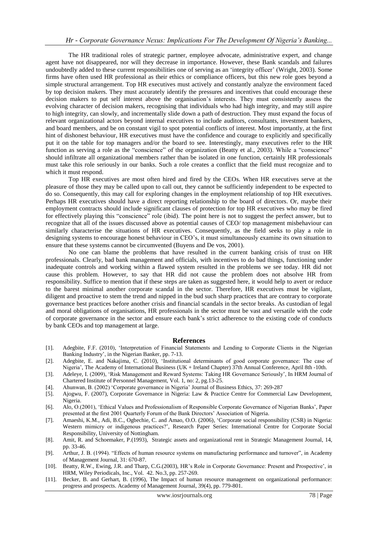The HR traditional roles of strategic partner, employee advocate, administrative expert, and change agent have not disappeared, nor will they decrease in importance. However, these Bank scandals and failures undoubtedly added to these current responsibilities one of serving as an "integrity officer" (Wright, 2003). Some firms have often used HR professional as their ethics or compliance officers, but this new role goes beyond a simple structural arrangement. Top HR executives must actively and constantly analyze the environment faced by top decision makers. They must accurately identify the pressures and incentives that could encourage these decision makers to put self interest above the organisation"s interests. They must consistently assess the evolving character of decision makers, recognising that individuals who had high integrity, and may still aspire to high integrity, can slowly, and incrementally slide down a path of destruction. They must expand the focus of relevant organizational actors beyond internal executives to include auditors, consultants, investment bankers, and board members, and be on constant vigil to spot potential conflicts of interest. Most importantly, at the first hint of dishonest behaviour, HR executives must have the confidence and courage to explicitly and specifically put it on the table for top managers and/or the board to see. Interestingly, many executives refer to the HR function as serving a role as the "conscience" of the organization (Beatty et al., 2003). While a "conscience" should infiltrate all organizational members rather than be isolated in one function, certainly HR professionals must take this role seriously in our banks. Such a role creates a conflict that the field must recognize and to which it must respond.

Top HR executives are most often hired and fired by the CEOs. When HR executives serve at the pleasure of those they may be called upon to call out, they cannot be sufficiently independent to be expected to do so. Consequently, this may call for exploring changes in the employment relationship of top HR executives. Perhaps HR executives should have a direct reporting relationship to the board of directors. Or, maybe their employment contracts should include significant clauses of protection for top HR executives who may be fired for effectively playing this "conscience" role (ibid). The point here is not to suggest the perfect answer, but to recognize that all of the issues discussed above as potential causes of CEO/ top management misbehaviour can similarly characterise the situations of HR executives. Consequently, as the field seeks to play a role in designing systems to encourage honest behaviour in CEO"s, it must simultaneously examine its own situation to ensure that these systems cannot be circumvented (Buyens and De vos, 2001).

No one can blame the problems that have resulted in the current banking crisis of trust on HR professionals. Clearly, bad bank management and officials, with incentives to do bad things, functioning under inadequate controls and working within a flawed system resulted in the problems we see today. HR did not cause this problem. However, to say that HR did not cause the problem does not absolve HR from responsibility. Suffice to mention that if these steps are taken as suggested here, it would help to avert or reduce to the barest minimal another corporate scandal in the sector. Therefore, HR executives must be vigilant, diligent and proactive to stem the trend and nipped in the bud such sharp practices that are contrary to corporate governance best practices before another crisis and financial scandals in the sector breaks. As custodian of legal and moral obligations of organisations, HR professionals in the sector must be vast and versatile with the code of corporate governance in the sector and ensure each bank"s strict adherence to the existing code of conducts by bank CEOs and top management at large.

#### **References**

- [1]. Adegbite, F.F. (2010), "Interpretation of Financial Statements and Lending to Corporate Clients in the Nigerian Banking Industry", in the Nigerian Banker, pp. 7-13.
- [2]. Adegbite, E. and Nakajima, C. (2010), "Institutional determinants of good corporate governance: The case of Nigeria", The Academy of International Business (UK + Ireland Chapter) 37th Annual Conference, April 8th -10th.
- [3]. Adeleye, I. (2009), 'Risk Management and Reward Systems: Taking HR Governance Seriously', In HRM Journal of Chartered Institute of Personnel Management, Vol. 1, no: 2, pg.13-25.
- [4]. Ahunwan, B. (2002) "Corporate governance in Nigeria" Journal of Business Ethics, 37: 269-287
- [5]. Ajogwu, F. (2007), Corporate Governance in Nigeria: Law & Practice Centre for Commercial Law Development, Nigeria.
- [6]. Alo, O.(2001), "Ethical Values and Professionalism of Responsible Corporate Governance of Nigerian Banks", Paper presented at the first 2001 Quarterly Forum of the Bank Directors" Association of Nigeria.
- [7]. Amaeshi, K.M., Adi, B.C., Ogbechie, C. and Amao, O.O. (2006), "Corporate social responsibility (CSR) in Nigeria: Western mimicry or indigenous practices?", Research Paper Series: International Centre for Corporate Social Responsibility, University of Nottingham.
- [8]. Amit, R. and Schoemaker, P.(1993), Strategic assets and organizational rent in Strategic Management Journal, 14, pp. 33-46.
- [9]. Arthur, J. B. (1994). "Effects of human resource systems on manufacturing performance and turnover", in Academy of Management Journal, 31: 670-87.
- [10]. Beatty, R.W., Ewing, J.R. and Tharp, C.G.(2003), HR"s Role in Corporate Governance: Present and Prospective", in HRM, Wiley Periodicals, Inc., Vol. 42. No.3, pp. 257-269.
- [11]. Becker, B. and Gerhart, B. (1996), The Impact of human resource management on organizational performance: progress and prospects. Academy of Management Journal, 39(4), pp. 779-801.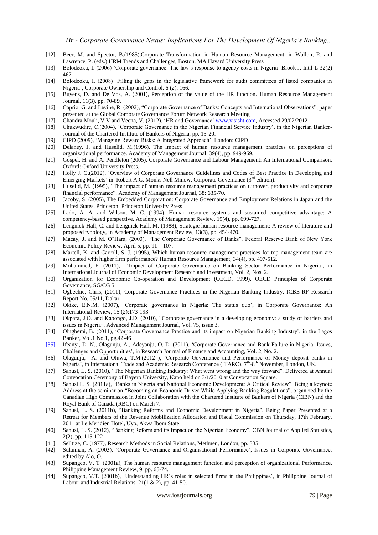- [12]. Beer, M. and Spector, B.(1985),Corporate Transformation in Human Resource Management, in Wallon, R. and Lawrence, P. (eds.) HRM Trends and Challenges, Boston, MA Havard University Press
- [13]. Bolodeoku, I. (2006) "Corporate governance: The law"s response to agency costs in Nigeria" Brook J. Int.l L 32(2) 467.
- [14]. Bolodeoku, I. (2008) "Filling the gaps in the legislative framework for audit committees of listed companies in Nigeria", Corporate Ownership and Control, 6 (2): 166.
- [15]. Buyens, D. and De Vos, A. (2001), Perception of the value of the HR function. Human Resource Management Journal, 11(3), pp. 70-89.
- [16]. Caprio, G. and Levine, R. (2002), "Corporate Governance of Banks: Concepts and International Observations", paper presented at the Global Corporate Governance Forum Network Research Meeting
- [17]. Chandra Mouli, V.V and Veena, V. (2012), "HR and Governance[" www.visisht.com,](http://www.visisht.com/) Accessed 29/02/2012
- [18]. Chukwudire, C.(2004), "Corporate Governance in the Nigerian Financial Service Industry", in the Nigerian Banker-Journal of the Chartered Institute of Bankers of Nigeria, pp. 15-20.
- [19]. CIPD (2009), "Managing Reward Risks: A Integrated Approach", London: CIPD
- [20]. Delaney, J. and Huselid, M.(1996), The impact of human resource management practices on perceptions of organizational performance. Academy of Management Journal, 39(4), pp. 949-969.
- [21]. Gospel, H. and A. Pendleton (2005), Corporate Governance and Labour Management: An International Comparison. Oxford: Oxford University Press.
- [22]. Holly J. G.(2012), "Overview of Corporate Governance Guidelines and Codes of Best Practice in Developing and Emerging Markets' in Robert A.G. Monks Nell Minow, Corporate Governance  $(3<sup>rd</sup>$  edition).
- [23]. Huselid, M. (1995), "The impact of human resource management practices on turnover, productivity and corporate financial performance". Academy of Management Journal, 38: 635-70.
- [24]. Jacoby, S. (2005), The Embedded Corporation: Corporate Governance and Employment Relations in Japan and the United States. Princeton: Princeton University Press
- [25]. Lado, A. A. and Wilson, M. C. (1994), Human resource systems and sustained competitive advantage: A competency-based perspective. Academy of Management Review, 19(4), pp. 699-727.
- [26]. Lengnick-Hall, C. and Lengnick-Hall, M. (1988), Strategic human resource management: A review of literature and proposed typology, in Academy of Management Review, 13(3), pp. 454-470.
- [27]. Macay, J. and M. O"Hara, (2003), "The Corporate Governance of Banks", Federal Reserve Bank of New York Economic Policy Review, April 5, pp. 91 – 107.
- [28]. Martell, K. and Carroll, S. J. (1995), Which human resource management practices for top management team are associated with higher firm performance? Human Resource Management, 34(4), pp. 497-512.
- [29]. Mohammed, F. (2011), 'Impact of Corporate Governance on Banking Sector Performance in Nigeria', in International Journal of Economic Development Research and Investment, Vol. 2, Nos. 2.
- [30]. Organization for Economic Co-operation and Development (OECD, 1999), OECD Principles of Corporate Governance, SG/CG 5.
- [31]. Ogbechie, Chris, (2011), Corporate Governance Practices in the Nigerian Banking Industry, ICBE-RF Research Report No. 05/11, Dakar.
- [32]. Okike, E.N.M. (2007), 'Corporate governance in Nigeria: The status quo', in Corporate Governance: An International Review, 15 (2):173-193.
- [33]. Okpara, J.O. and Kabongo, J.D. (2010), "Corporate governance in a developing economy: a study of barriers and issues in Nigeria", Advanced Management Journal, Vol. 75, issue 3.
- [34]. Olugbemi, B. (2011), "Corporate Governance Practice and its impact on Nigerian Banking Industry", in the Lagos Banker, Vol.1 No.1, pg.42-46
- [35]. Ifeanyi, D. N., Olagunju, A., Adeyanju, O. D. (2011), "Corporate Governance and Bank Failure in Nigeria: Issues, Challenges and Opportunities", in Research Journal of Finance and Accounting, Vol. 2, No. 2.
- [36]. Olagunju, A. and Oluwa, T.M.(2012 ), "Corporate Governance and Performance of Money deposit banks in Nigeria', in International Trade and Academic Research Conference (ITARC), 7<sup>th</sup>-8<sup>th</sup> November, London, UK.
- [37]. Sanusi, L. S. (2010), "The Nigerian Banking Industry: What went wrong and the way forward". Delivered at Annual Convocation Ceremony of Bayero University, Kano held on 3/1/2010 at Convocation Square.
- [38]. Sanusi L. S. (2011a), "Banks in Nigeria and National Economic Development: A Critical Review". Being a keynote Address at the seminar on "Becoming an Economic Driver While Applying Banking Regulations", organized by the Canadian High Commission in Joint Collaboration with the Chartered Institute of Bankers of Nigeria (CIBN) and the Royal Bank of Canada (RBC) on March 7.
- [39]. Sanusi, L. S. (2011b), "Banking Reforms and Economic Development in Nigeria", Being Paper Presented at a Retreat for Members of the Revenue Mobilization Allocation and Fiscal Commission on Thursday, 17th February, 2011 at Le Meridien Hotel, Uyo, Akwa Ibom State.
- [40]. Sanusi, L. S. (2012), "Banking Reform and its Impact on the Nigerian Economy", CBN Journal of Applied Statistics, 2(2), pp. 115-122
- [41]. Selltize, C. (1977), Research Methods in Social Relations, Methuen, London, pp. 335
- [42]. Sulaiman, A. (2003), 'Corporate Governance and Organisational Performance', Issues in Corporate Governance, edited by Alo, O.
- [43]. Supangco, V. T. (2001a), The human resource management function and perception of organizational Performance, Philippine Management Review, 9, pp. 65-74.
- [44]. Supangco, V.T. (2001b), 'Understanding HR's roles in selected firms in the Philippines', in Philippine Journal of Labour and Industrial Relations, 21(1 & 2), pp. 41-50.